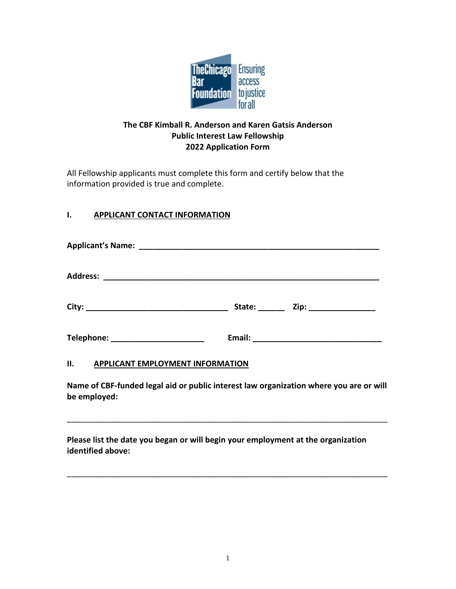

## **The CBF Kimball R. Anderson and Karen Gatsis Anderson Public Interest Law Fellowship 2022 Application Form**

All Fellowship applicants must complete this form and certify below that the information provided is true and complete.

# **I. APPLICANT CONTACT INFORMATION**

| Telephone: Telephone: |  |
|-----------------------|--|
|                       |  |

#### **II. APPLICANT EMPLOYMENT INFORMATION**

**Name of CBF-funded legal aid or public interest law organization where you are or will be employed:**

\_\_\_\_\_\_\_\_\_\_\_\_\_\_\_\_\_\_\_\_\_\_\_\_\_\_\_\_\_\_\_\_\_\_\_\_\_\_\_\_\_\_\_\_\_\_\_\_\_\_\_\_\_\_\_\_\_\_\_\_\_\_\_\_\_\_\_\_\_\_\_\_

\_\_\_\_\_\_\_\_\_\_\_\_\_\_\_\_\_\_\_\_\_\_\_\_\_\_\_\_\_\_\_\_\_\_\_\_\_\_\_\_\_\_\_\_\_\_\_\_\_\_\_\_\_\_\_\_\_\_\_\_\_\_\_\_\_\_\_\_\_\_\_\_

**Please list the date you began or will begin your employment at the organization identified above:**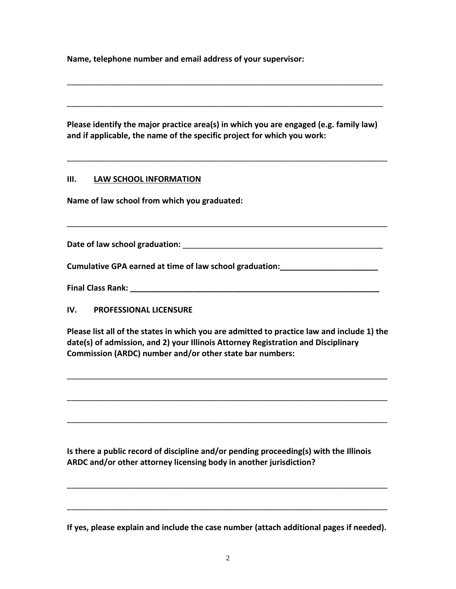**Name, telephone number and email address of your supervisor:**

**Please identify the major practice area(s) in which you are engaged (e.g. family law) and if applicable, the name of the specific project for which you work:**

\_\_\_\_\_\_\_\_\_\_\_\_\_\_\_\_\_\_\_\_\_\_\_\_\_\_\_\_\_\_\_\_\_\_\_\_\_\_\_\_\_\_\_\_\_\_\_\_\_\_\_\_\_\_\_\_\_\_\_\_\_\_\_\_\_\_\_\_\_\_\_\_

\_\_\_\_\_\_\_\_\_\_\_\_\_\_\_\_\_\_\_\_\_\_\_\_\_\_\_\_\_\_\_\_\_\_\_\_\_\_\_\_\_\_\_\_\_\_\_\_\_\_\_\_\_\_\_\_\_\_\_\_\_\_\_\_\_\_\_\_\_\_\_

\_\_\_\_\_\_\_\_\_\_\_\_\_\_\_\_\_\_\_\_\_\_\_\_\_\_\_\_\_\_\_\_\_\_\_\_\_\_\_\_\_\_\_\_\_\_\_\_\_\_\_\_\_\_\_\_\_\_\_\_\_\_\_\_\_\_\_\_\_\_\_

#### **III. LAW SCHOOL INFORMATION**

**Name of law school from which you graduated:** 

**Date of law school graduation: Date of law school graduation:** 

\_\_\_\_\_\_\_\_\_\_\_\_\_\_\_\_\_\_\_\_\_\_\_\_\_\_\_\_\_\_\_\_\_\_\_\_\_\_\_\_\_\_\_\_\_\_\_\_\_\_\_\_\_\_\_\_\_\_\_\_\_\_\_\_\_\_\_\_\_\_\_\_

**Cumulative GPA earned at time of law school graduation:\_\_\_\_\_\_\_\_\_\_\_\_\_\_\_\_\_\_\_\_\_\_**

**Final Class Rank: Class Angle 2014** 

**IV. PROFESSIONAL LICENSURE**

**Please list all of the states in which you are admitted to practice law and include 1) the date(s) of admission, and 2) your Illinois Attorney Registration and Disciplinary Commission (ARDC) number and/or other state bar numbers:**

\_\_\_\_\_\_\_\_\_\_\_\_\_\_\_\_\_\_\_\_\_\_\_\_\_\_\_\_\_\_\_\_\_\_\_\_\_\_\_\_\_\_\_\_\_\_\_\_\_\_\_\_\_\_\_\_\_\_\_\_\_\_\_\_\_\_\_\_\_\_\_\_

\_\_\_\_\_\_\_\_\_\_\_\_\_\_\_\_\_\_\_\_\_\_\_\_\_\_\_\_\_\_\_\_\_\_\_\_\_\_\_\_\_\_\_\_\_\_\_\_\_\_\_\_\_\_\_\_\_\_\_\_\_\_\_\_\_\_\_\_\_\_\_\_

\_\_\_\_\_\_\_\_\_\_\_\_\_\_\_\_\_\_\_\_\_\_\_\_\_\_\_\_\_\_\_\_\_\_\_\_\_\_\_\_\_\_\_\_\_\_\_\_\_\_\_\_\_\_\_\_\_\_\_\_\_\_\_\_\_\_\_\_\_\_\_\_

**Is there a public record of discipline and/or pending proceeding(s) with the Illinois ARDC and/or other attorney licensing body in another jurisdiction?**

**If yes, please explain and include the case number (attach additional pages if needed).** 

\_\_\_\_\_\_\_\_\_\_\_\_\_\_\_\_\_\_\_\_\_\_\_\_\_\_\_\_\_\_\_\_\_\_\_\_\_\_\_\_\_\_\_\_\_\_\_\_\_\_\_\_\_\_\_\_\_\_\_\_\_\_\_\_\_\_\_\_\_\_\_\_

\_\_\_\_\_\_\_\_\_\_\_\_\_\_\_\_\_\_\_\_\_\_\_\_\_\_\_\_\_\_\_\_\_\_\_\_\_\_\_\_\_\_\_\_\_\_\_\_\_\_\_\_\_\_\_\_\_\_\_\_\_\_\_\_\_\_\_\_\_\_\_\_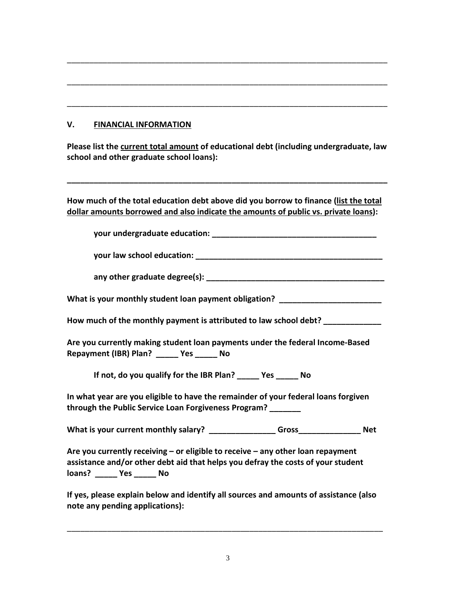## **V. FINANCIAL INFORMATION**

**Please list the current total amount of educational debt (including undergraduate, law school and other graduate school loans):**

**\_\_\_\_\_\_\_\_\_\_\_\_\_\_\_\_\_\_\_\_\_\_\_\_\_\_\_\_\_\_\_\_\_\_\_\_\_\_\_\_\_\_\_\_\_\_\_\_\_\_\_\_\_\_\_\_\_\_\_\_\_\_\_\_\_\_\_\_\_\_\_\_**

\_\_\_\_\_\_\_\_\_\_\_\_\_\_\_\_\_\_\_\_\_\_\_\_\_\_\_\_\_\_\_\_\_\_\_\_\_\_\_\_\_\_\_\_\_\_\_\_\_\_\_\_\_\_\_\_\_\_\_\_\_\_\_\_\_\_\_\_\_\_\_\_

\_\_\_\_\_\_\_\_\_\_\_\_\_\_\_\_\_\_\_\_\_\_\_\_\_\_\_\_\_\_\_\_\_\_\_\_\_\_\_\_\_\_\_\_\_\_\_\_\_\_\_\_\_\_\_\_\_\_\_\_\_\_\_\_\_\_\_\_\_\_\_\_

\_\_\_\_\_\_\_\_\_\_\_\_\_\_\_\_\_\_\_\_\_\_\_\_\_\_\_\_\_\_\_\_\_\_\_\_\_\_\_\_\_\_\_\_\_\_\_\_\_\_\_\_\_\_\_\_\_\_\_\_\_\_\_\_\_\_\_\_\_\_\_\_

**How much of the total education debt above did you borrow to finance (list the total dollar amounts borrowed and also indicate the amounts of public vs. private loans):**

**your undergraduate education: \_\_\_\_\_\_\_\_\_\_\_\_\_\_\_\_\_\_\_\_\_\_\_\_\_\_\_\_\_\_\_\_\_\_\_\_\_**

**your law school education: \_\_\_\_\_\_\_\_\_\_\_\_\_\_\_\_\_\_\_\_\_\_\_\_\_\_\_\_\_\_\_\_\_\_\_\_\_\_\_\_\_\_**

**any other graduate degree(s): \_\_\_\_\_\_\_\_\_\_\_\_\_\_\_\_\_\_\_\_\_\_\_\_\_\_\_\_\_\_\_\_\_\_\_\_\_\_\_\_**

What is your monthly student loan payment obligation?

**How much of the monthly payment is attributed to law school debt? \_\_\_\_\_\_\_\_\_\_\_\_\_**

**Are you currently making student loan payments under the federal Income-Based Repayment (IBR) Plan? \_\_\_\_\_ Yes \_\_\_\_\_ No**

**If not, do you qualify for the IBR Plan? \_\_\_\_\_ Yes \_\_\_\_\_ No**

**In what year are you eligible to have the remainder of your federal loans forgiven through the Public Service Loan Forgiveness Program? \_\_\_\_\_\_\_** 

What is your current monthly salary? \_\_\_\_\_\_\_\_\_\_\_\_\_\_\_\_Gross\_\_\_\_\_\_\_\_\_\_\_\_\_\_\_ Net

**Are you currently receiving – or eligible to receive – any other loan repayment assistance and/or other debt aid that helps you defray the costs of your student loans? \_\_\_\_\_ Yes \_\_\_\_\_ No**

**If yes, please explain below and identify all sources and amounts of assistance (also note any pending applications):**

\_\_\_\_\_\_\_\_\_\_\_\_\_\_\_\_\_\_\_\_\_\_\_\_\_\_\_\_\_\_\_\_\_\_\_\_\_\_\_\_\_\_\_\_\_\_\_\_\_\_\_\_\_\_\_\_\_\_\_\_\_\_\_\_\_\_\_\_\_\_\_